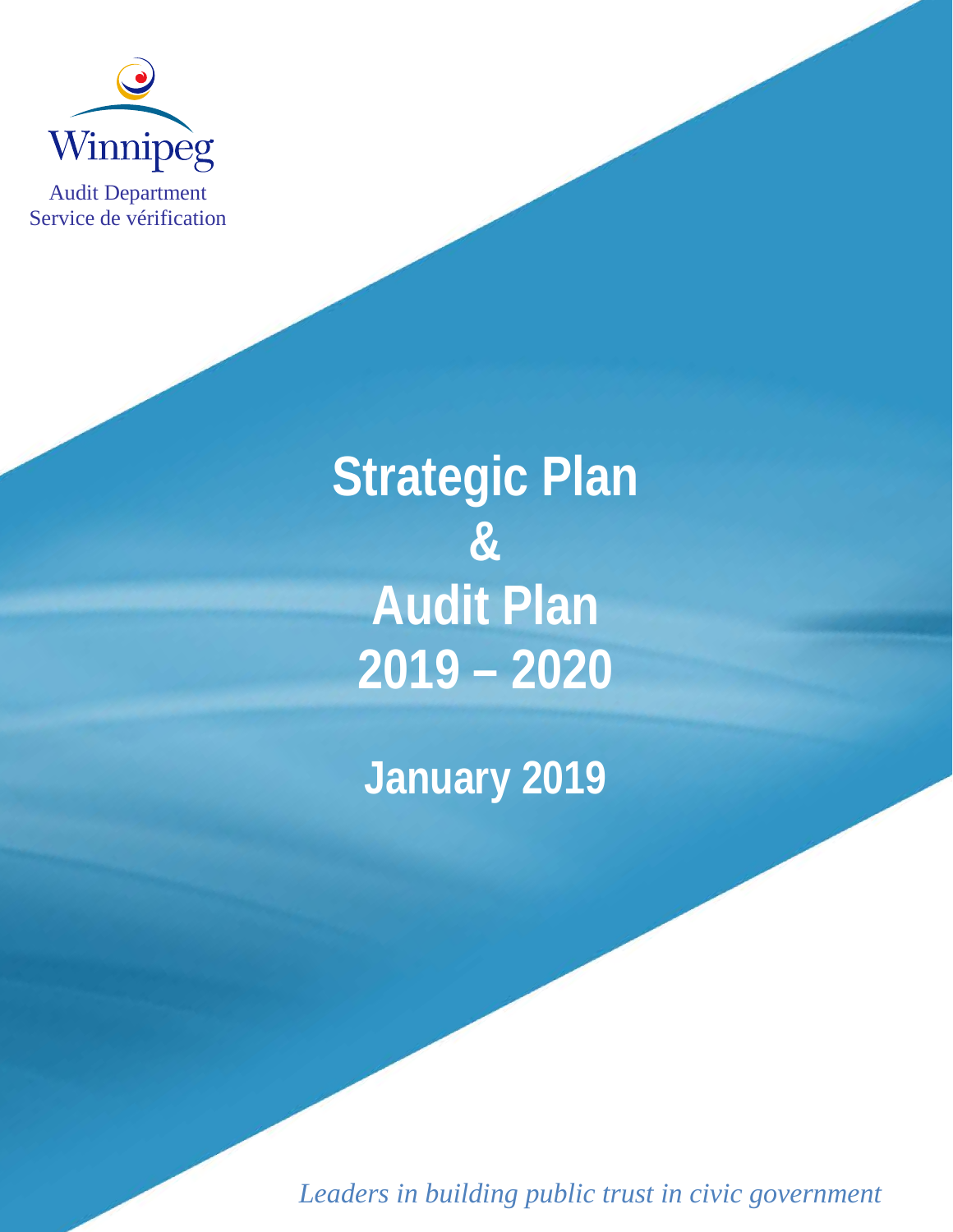

Audit Department Service de vérification

> **Strategic Plan & Audit Plan 2019 – 2020**

**January 2019**

*Leaders in building public trust in civic government*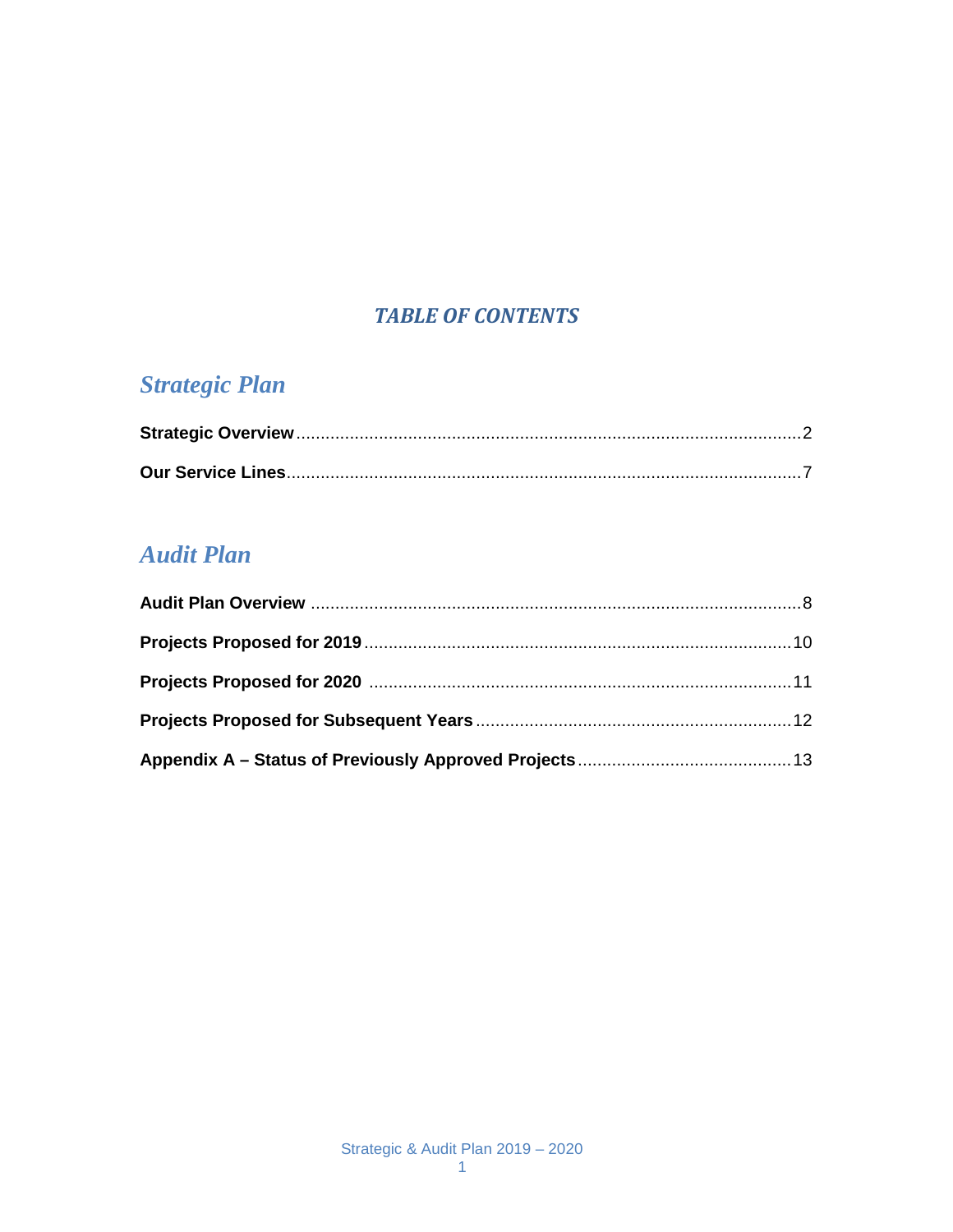### **TABLE OF CONTENTS**

## **Strategic Plan**

## **Audit Plan**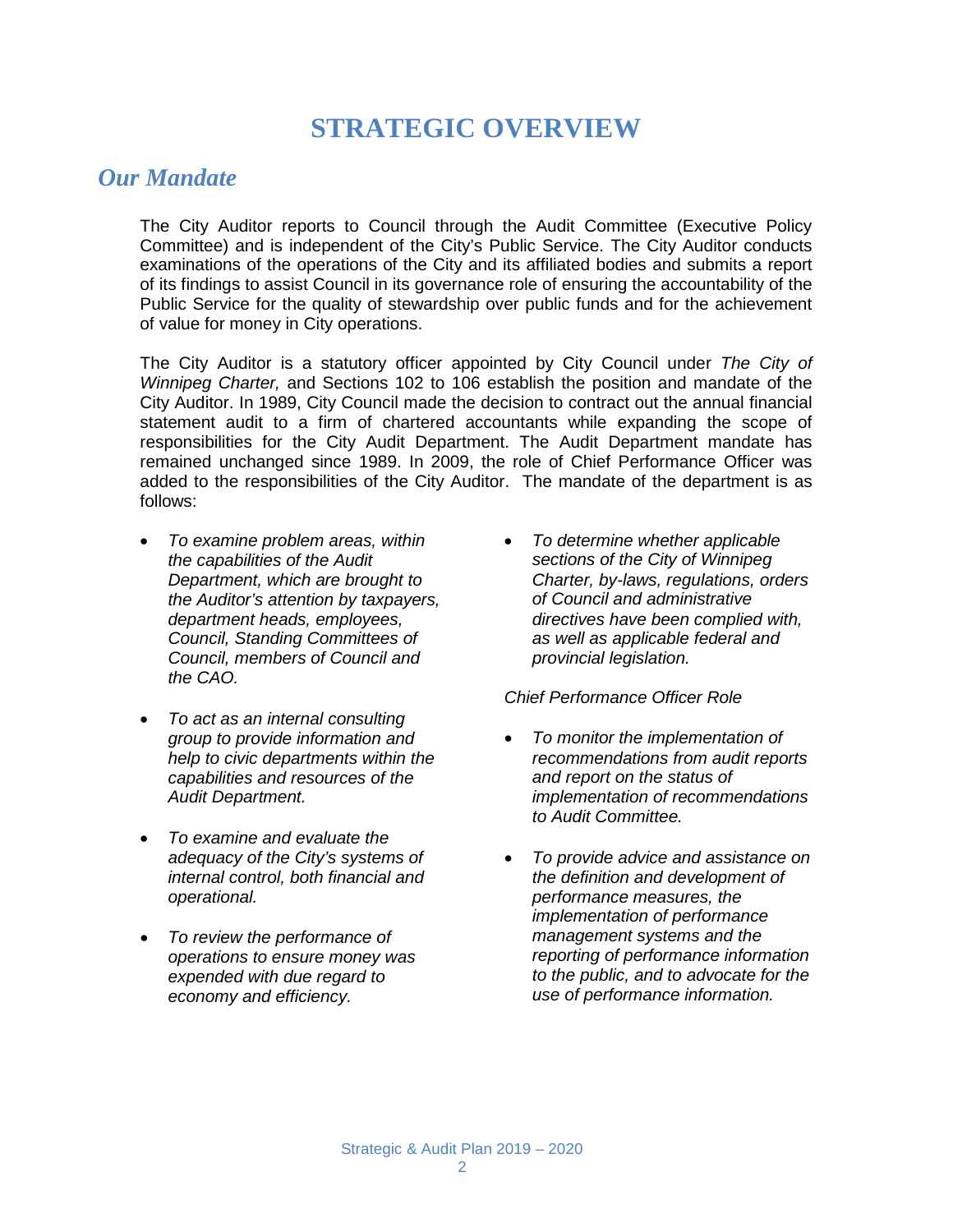## **STRATEGIC OVERVIEW**

#### *Our Mandate*

The City Auditor reports to Council through the Audit Committee (Executive Policy Committee) and is independent of the City's Public Service. The City Auditor conducts examinations of the operations of the City and its affiliated bodies and submits a report of its findings to assist Council in its governance role of ensuring the accountability of the Public Service for the quality of stewardship over public funds and for the achievement of value for money in City operations.

The City Auditor is a statutory officer appointed by City Council under *The City of Winnipeg Charter,* and Sections 102 to 106 establish the position and mandate of the City Auditor. In 1989, City Council made the decision to contract out the annual financial statement audit to a firm of chartered accountants while expanding the scope of responsibilities for the City Audit Department. The Audit Department mandate has remained unchanged since 1989. In 2009, the role of Chief Performance Officer was added to the responsibilities of the City Auditor. The mandate of the department is as follows:

- *To examine problem areas, within the capabilities of the Audit Department, which are brought to the Auditor's attention by taxpayers, department heads, employees, Council, Standing Committees of Council, members of Council and the CAO.*
- *To act as an internal consulting group to provide information and help to civic departments within the capabilities and resources of the Audit Department.*
- *To examine and evaluate the adequacy of the City's systems of internal control, both financial and operational.*
- *To review the performance of operations to ensure money was expended with due regard to economy and efficiency.*

• *To determine whether applicable sections of the City of Winnipeg Charter, by-laws, regulations, orders of Council and administrative directives have been complied with, as well as applicable federal and provincial legislation.*

#### *Chief Performance Officer Role*

- *To monitor the implementation of recommendations from audit reports and report on the status of implementation of recommendations to Audit Committee.*
- *To provide advice and assistance on the definition and development of performance measures, the implementation of performance management systems and the reporting of performance information to the public, and to advocate for the use of performance information.*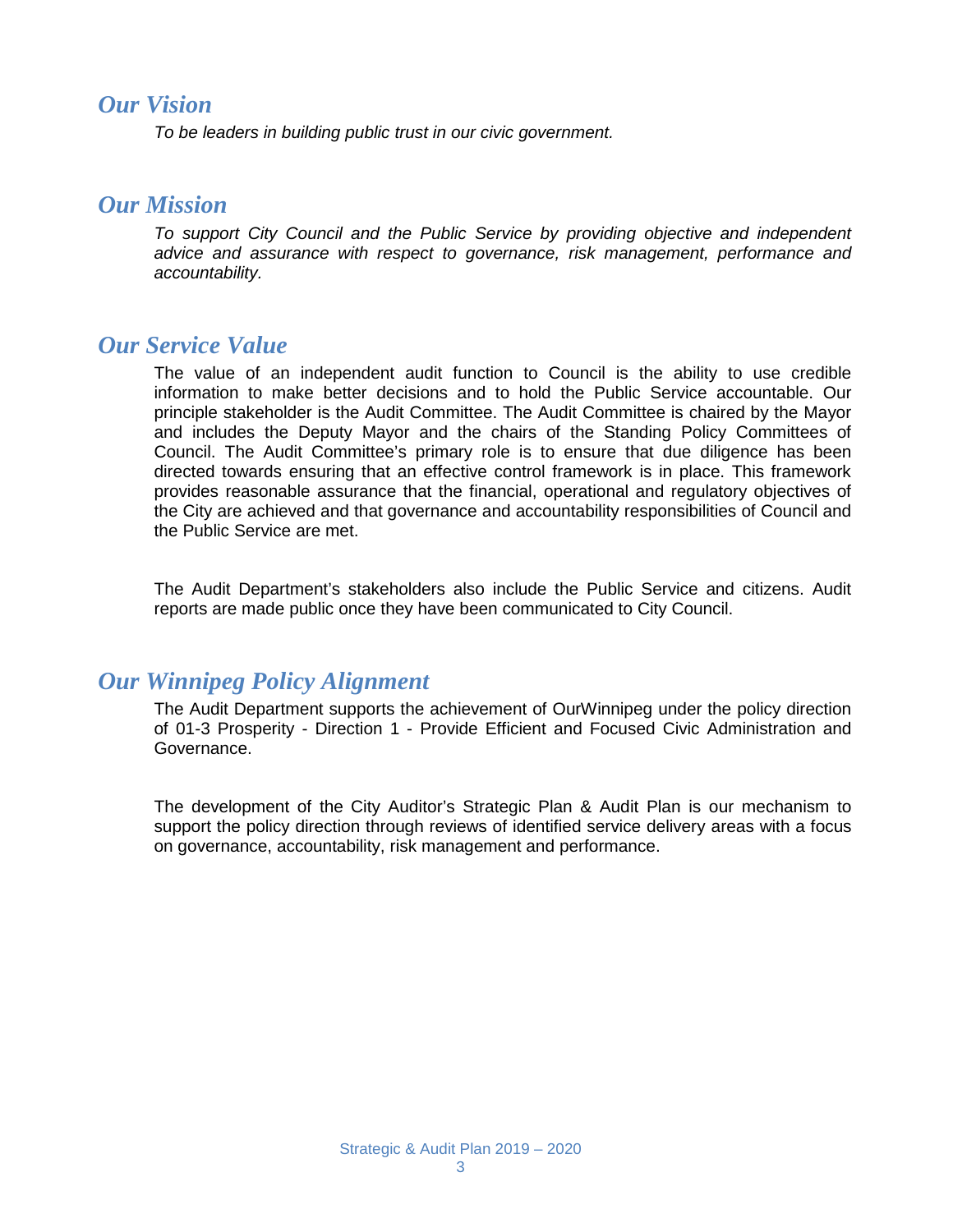#### *Our Vision*

*To be leaders in building public trust in our civic government.* 

#### *Our Mission*

*To support City Council and the Public Service by providing objective and independent advice and assurance with respect to governance, risk management, performance and accountability.*

#### *Our Service Value*

The value of an independent audit function to Council is the ability to use credible information to make better decisions and to hold the Public Service accountable. Our principle stakeholder is the Audit Committee. The Audit Committee is chaired by the Mayor and includes the Deputy Mayor and the chairs of the Standing Policy Committees of Council. The Audit Committee's primary role is to ensure that due diligence has been directed towards ensuring that an effective control framework is in place. This framework provides reasonable assurance that the financial, operational and regulatory objectives of the City are achieved and that governance and accountability responsibilities of Council and the Public Service are met.

The Audit Department's stakeholders also include the Public Service and citizens. Audit reports are made public once they have been communicated to City Council.

#### *Our Winnipeg Policy Alignment*

The Audit Department supports the achievement of OurWinnipeg under the policy direction of 01-3 Prosperity - Direction 1 - Provide Efficient and Focused Civic Administration and Governance.

The development of the City Auditor's Strategic Plan & Audit Plan is our mechanism to support the policy direction through reviews of identified service delivery areas with a focus on governance, accountability, risk management and performance.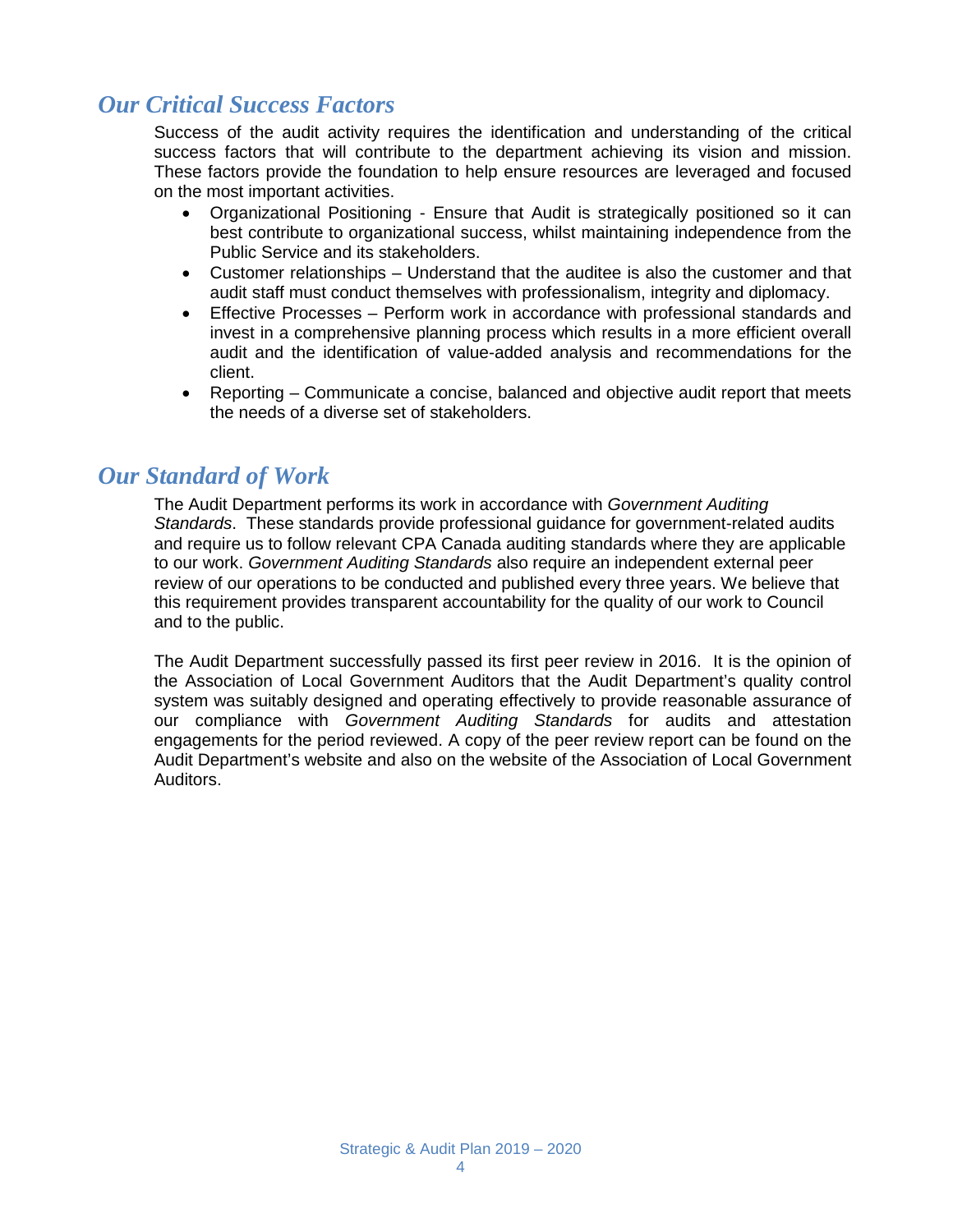## *Our Critical Success Factors*

Success of the audit activity requires the identification and understanding of the critical success factors that will contribute to the department achieving its vision and mission. These factors provide the foundation to help ensure resources are leveraged and focused on the most important activities.

- Organizational Positioning Ensure that Audit is strategically positioned so it can best contribute to organizational success, whilst maintaining independence from the Public Service and its stakeholders.
- Customer relationships Understand that the auditee is also the customer and that audit staff must conduct themselves with professionalism, integrity and diplomacy.
- Effective Processes Perform work in accordance with professional standards and invest in a comprehensive planning process which results in a more efficient overall audit and the identification of value-added analysis and recommendations for the client.
- Reporting Communicate a concise, balanced and objective audit report that meets the needs of a diverse set of stakeholders.

#### *Our Standard of Work*

The Audit Department performs its work in accordance with *Government Auditing Standards*. These standards provide professional guidance for government-related audits and require us to follow relevant CPA Canada auditing standards where they are applicable to our work. *Government Auditing Standards* also require an independent external peer review of our operations to be conducted and published every three years. We believe that this requirement provides transparent accountability for the quality of our work to Council and to the public.

The Audit Department successfully passed its first peer review in 2016. It is the opinion of the Association of Local Government Auditors that the Audit Department's quality control system was suitably designed and operating effectively to provide reasonable assurance of our compliance with *Government Auditing Standards* for audits and attestation engagements for the period reviewed. A copy of the peer review report can be found on the Audit Department's website and also on the website of the Association of Local Government Auditors.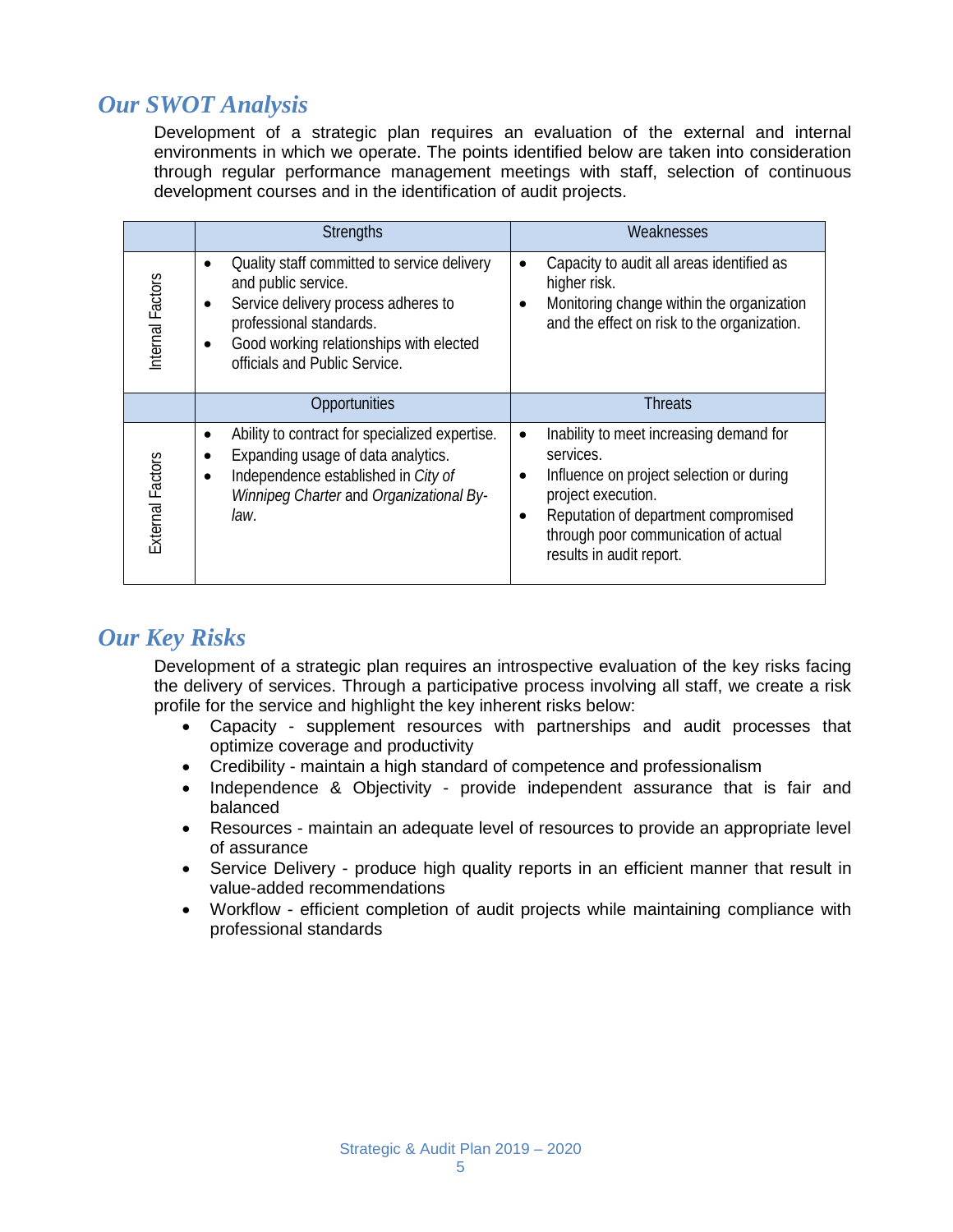## *Our SWOT Analysis*

Development of a strategic plan requires an evaluation of the external and internal environments in which we operate. The points identified below are taken into consideration through regular performance management meetings with staff, selection of continuous development courses and in the identification of audit projects.

|                         | <b>Strengths</b>                                                                                                                                                                                                              | Weaknesses                                                                                                                                                                                                                                                                |  |  |
|-------------------------|-------------------------------------------------------------------------------------------------------------------------------------------------------------------------------------------------------------------------------|---------------------------------------------------------------------------------------------------------------------------------------------------------------------------------------------------------------------------------------------------------------------------|--|--|
| Internal Factors        | Quality staff committed to service delivery<br>and public service.<br>Service delivery process adheres to<br>$\bullet$<br>professional standards.<br>Good working relationships with elected<br>officials and Public Service. | Capacity to audit all areas identified as<br>$\bullet$<br>higher risk.<br>Monitoring change within the organization<br>and the effect on risk to the organization.                                                                                                        |  |  |
|                         | Opportunities                                                                                                                                                                                                                 | <b>Threats</b>                                                                                                                                                                                                                                                            |  |  |
| <b>External Factors</b> | Ability to contract for specialized expertise.<br>$\bullet$<br>Expanding usage of data analytics.<br>Independence established in City of<br>Winnipeg Charter and Organizational By-<br>law.                                   | Inability to meet increasing demand for<br>$\bullet$<br>services.<br>Influence on project selection or during<br>$\bullet$<br>project execution.<br>Reputation of department compromised<br>$\bullet$<br>through poor communication of actual<br>results in audit report. |  |  |

### *Our Key Risks*

Development of a strategic plan requires an introspective evaluation of the key risks facing the delivery of services. Through a participative process involving all staff, we create a risk profile for the service and highlight the key inherent risks below:

- Capacity supplement resources with partnerships and audit processes that optimize coverage and productivity
- Credibility maintain a high standard of competence and professionalism
- Independence & Objectivity provide independent assurance that is fair and balanced
- Resources maintain an adequate level of resources to provide an appropriate level of assurance
- Service Delivery produce high quality reports in an efficient manner that result in value-added recommendations
- Workflow efficient completion of audit projects while maintaining compliance with professional standards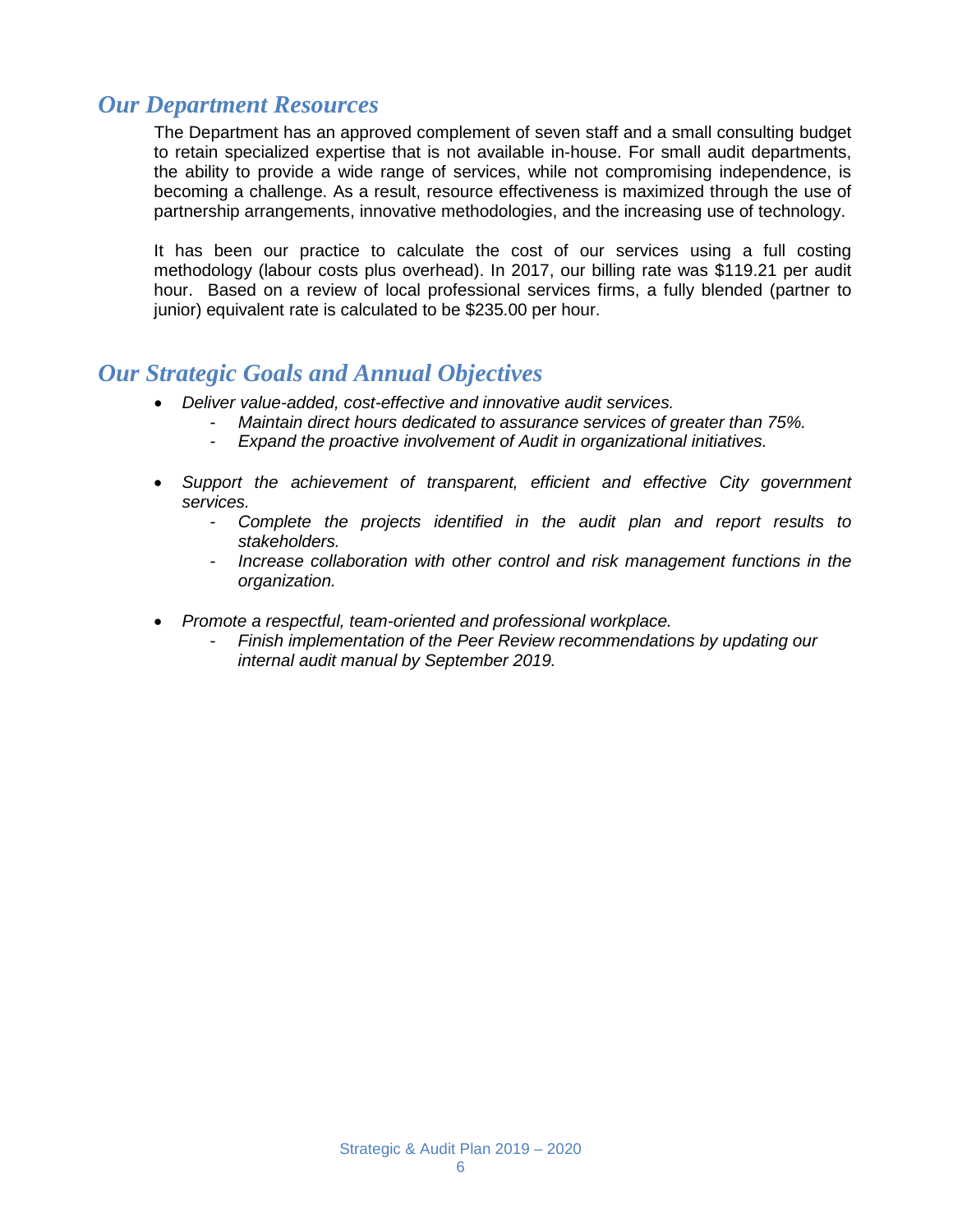### *Our Department Resources*

The Department has an approved complement of seven staff and a small consulting budget to retain specialized expertise that is not available in-house. For small audit departments, the ability to provide a wide range of services, while not compromising independence, is becoming a challenge. As a result, resource effectiveness is maximized through the use of partnership arrangements, innovative methodologies, and the increasing use of technology.

It has been our practice to calculate the cost of our services using a full costing methodology (labour costs plus overhead). In 2017, our billing rate was \$119.21 per audit hour. Based on a review of local professional services firms, a fully blended (partner to junior) equivalent rate is calculated to be \$235.00 per hour.

#### *Our Strategic Goals and Annual Objectives*

- *Deliver value-added, cost-effective and innovative audit services.*
	- *Maintain direct hours dedicated to assurance services of greater than 75%.*
	- *Expand the proactive involvement of Audit in organizational initiatives.*
- *Support the achievement of transparent, efficient and effective City government services.*
	- *Complete the projects identified in the audit plan and report results to stakeholders.*
	- *Increase collaboration with other control and risk management functions in the organization.*
- *Promote a respectful, team-oriented and professional workplace.*
	- *Finish implementation of the Peer Review recommendations by updating our internal audit manual by September 2019.*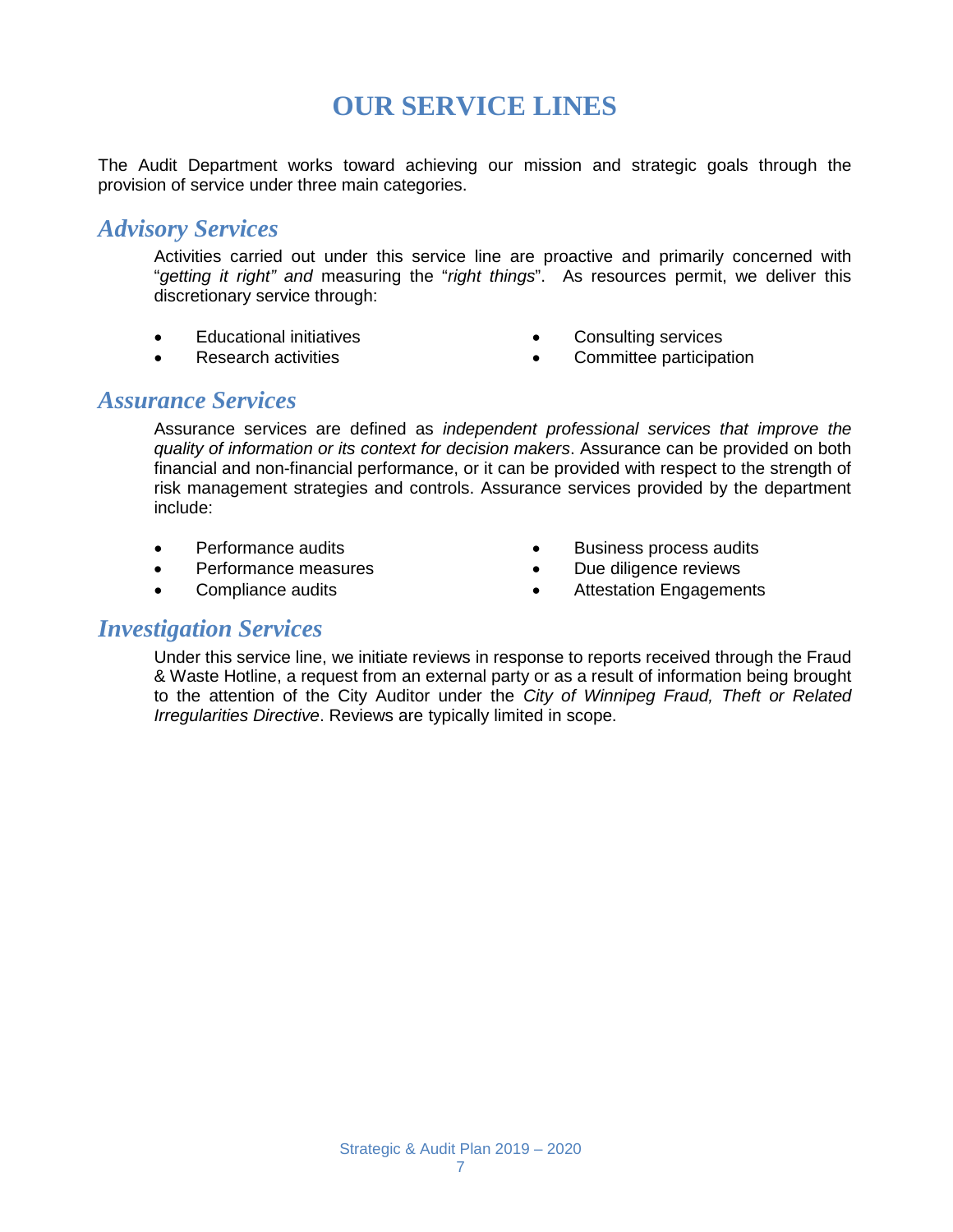## **OUR SERVICE LINES**

The Audit Department works toward achieving our mission and strategic goals through the provision of service under three main categories.

#### *Advisory Services*

Activities carried out under this service line are proactive and primarily concerned with "*getting it right" and* measuring the "*right things*". As resources permit, we deliver this discretionary service through:

- Educational initiatives
- Research activities
- Consulting services
- Committee participation

#### *Assurance Services*

Assurance services are defined as *independent professional services that improve the quality of information or its context for decision makers*. Assurance can be provided on both financial and non-financial performance, or it can be provided with respect to the strength of risk management strategies and controls. Assurance services provided by the department include:

- Performance audits
- Performance measures
- Compliance audits
- Business process audits
- Due diligence reviews
- Attestation Engagements

#### *Investigation Services*

Under this service line, we initiate reviews in response to reports received through the Fraud & Waste Hotline, a request from an external party or as a result of information being brought to the attention of the City Auditor under the *City of Winnipeg Fraud, Theft or Related Irregularities Directive*. Reviews are typically limited in scope.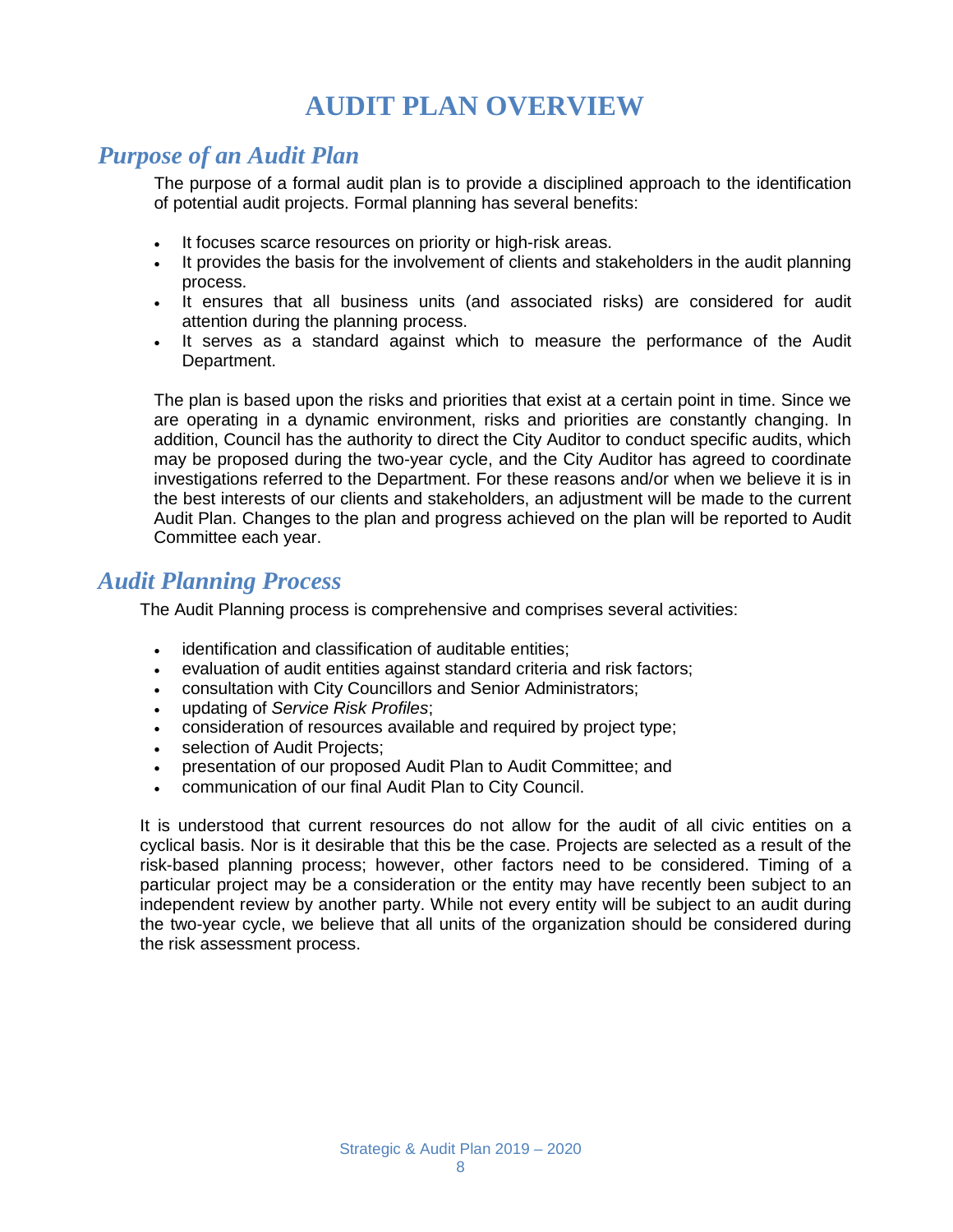## **AUDIT PLAN OVERVIEW**

### *Purpose of an Audit Plan*

The purpose of a formal audit plan is to provide a disciplined approach to the identification of potential audit projects. Formal planning has several benefits:

- It focuses scarce resources on priority or high-risk areas.
- It provides the basis for the involvement of clients and stakeholders in the audit planning process.
- It ensures that all business units (and associated risks) are considered for audit attention during the planning process.
- It serves as a standard against which to measure the performance of the Audit Department.

The plan is based upon the risks and priorities that exist at a certain point in time. Since we are operating in a dynamic environment, risks and priorities are constantly changing. In addition, Council has the authority to direct the City Auditor to conduct specific audits, which may be proposed during the two-year cycle, and the City Auditor has agreed to coordinate investigations referred to the Department. For these reasons and/or when we believe it is in the best interests of our clients and stakeholders, an adjustment will be made to the current Audit Plan. Changes to the plan and progress achieved on the plan will be reported to Audit Committee each year.

#### *Audit Planning Process*

The Audit Planning process is comprehensive and comprises several activities:

- identification and classification of auditable entities;
- evaluation of audit entities against standard criteria and risk factors;
- consultation with City Councillors and Senior Administrators;
- updating of *Service Risk Profiles*;
- consideration of resources available and required by project type;
- selection of Audit Projects;
- presentation of our proposed Audit Plan to Audit Committee; and
- communication of our final Audit Plan to City Council.

It is understood that current resources do not allow for the audit of all civic entities on a cyclical basis. Nor is it desirable that this be the case. Projects are selected as a result of the risk-based planning process; however, other factors need to be considered. Timing of a particular project may be a consideration or the entity may have recently been subject to an independent review by another party. While not every entity will be subject to an audit during the two-year cycle, we believe that all units of the organization should be considered during the risk assessment process.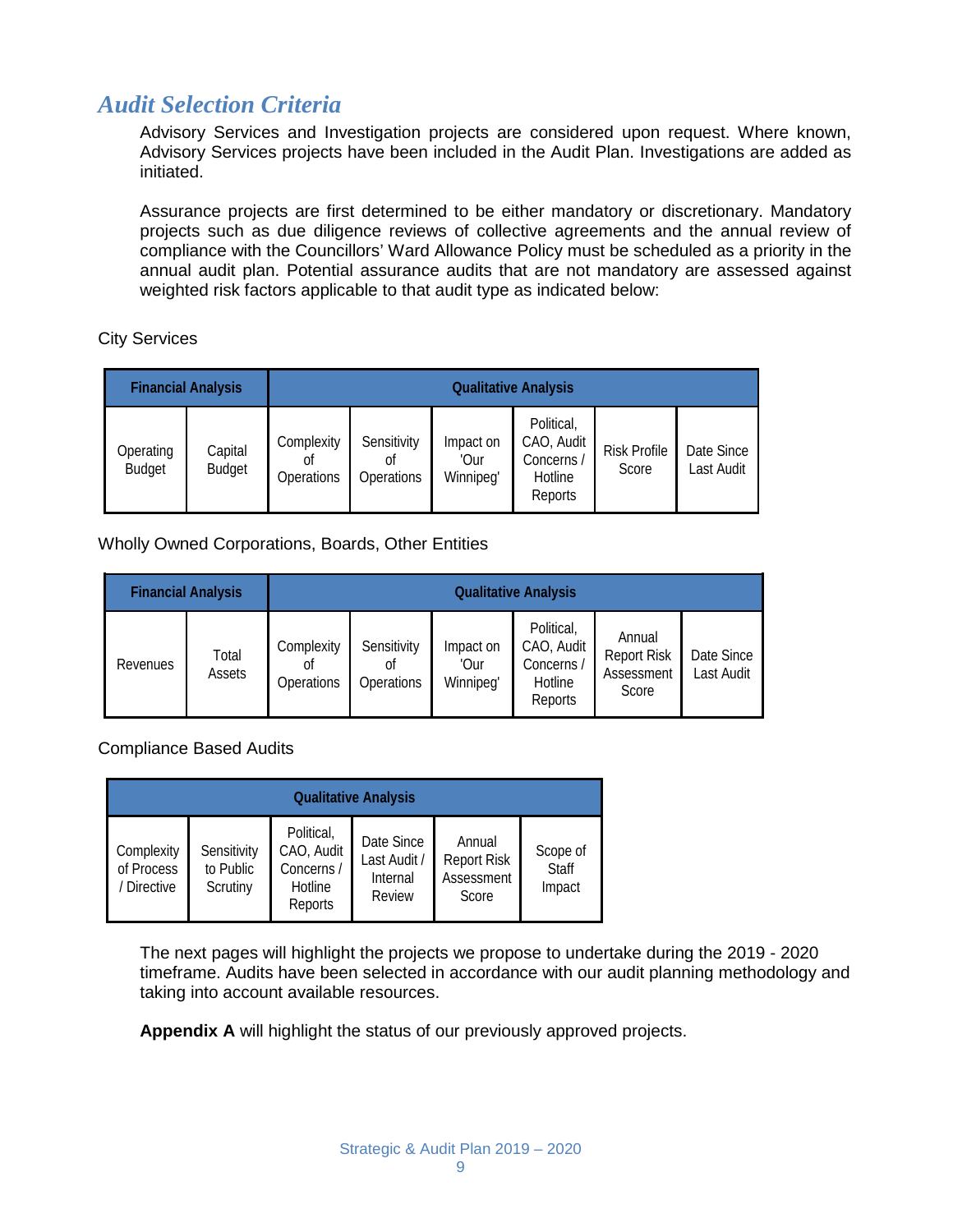### *Audit Selection Criteria*

Advisory Services and Investigation projects are considered upon request. Where known, Advisory Services projects have been included in the Audit Plan. Investigations are added as initiated.

Assurance projects are first determined to be either mandatory or discretionary. Mandatory projects such as due diligence reviews of collective agreements and the annual review of compliance with the Councillors' Ward Allowance Policy must be scheduled as a priority in the annual audit plan. Potential assurance audits that are not mandatory are assessed against weighted risk factors applicable to that audit type as indicated below:

City Services

| <b>Financial Analysis</b>  |                          | <b>Qualitative Analysis</b>    |                                 |                                |                                                              |                              |                          |
|----------------------------|--------------------------|--------------------------------|---------------------------------|--------------------------------|--------------------------------------------------------------|------------------------------|--------------------------|
| Operating<br><b>Budget</b> | Capital<br><b>Budget</b> | Complexity<br>0t<br>Operations | Sensitivity<br>0ľ<br>Operations | Impact on<br>'Our<br>Winnipeg' | Political,<br>CAO, Audit<br>Concerns /<br>Hotline<br>Reports | <b>Risk Profile</b><br>Score | Date Since<br>Last Audit |

Wholly Owned Corporations, Boards, Other Entities

| <b>Financial Analysis</b> |                 | <b>Qualitative Analysis</b>    |                                 |                                |                                                              |                                                     |                          |
|---------------------------|-----------------|--------------------------------|---------------------------------|--------------------------------|--------------------------------------------------------------|-----------------------------------------------------|--------------------------|
| Revenues                  | Total<br>Assets | Complexity<br>0t<br>Operations | Sensitivity<br>Οf<br>Operations | Impact on<br>'Our<br>Winnipeg' | Political,<br>CAO, Audit<br>Concerns /<br>Hotline<br>Reports | Annual<br><b>Report Risk</b><br>Assessment<br>Score | Date Since<br>Last Audit |

Compliance Based Audits

| <b>Qualitative Analysis</b>             |                                      |                                                              |                                                  |                                                     |                                    |  |
|-----------------------------------------|--------------------------------------|--------------------------------------------------------------|--------------------------------------------------|-----------------------------------------------------|------------------------------------|--|
| Complexity<br>of Process<br>/ Directive | Sensitivity<br>to Public<br>Scrutiny | Political,<br>CAO, Audit<br>Concerns /<br>Hotline<br>Reports | Date Since<br>Last Audit /<br>Internal<br>Review | Annual<br><b>Report Risk</b><br>Assessment<br>Score | Scope of<br><b>Staff</b><br>Impact |  |

The next pages will highlight the projects we propose to undertake during the 2019 - 2020 timeframe. Audits have been selected in accordance with our audit planning methodology and taking into account available resources.

**Appendix A** will highlight the status of our previously approved projects.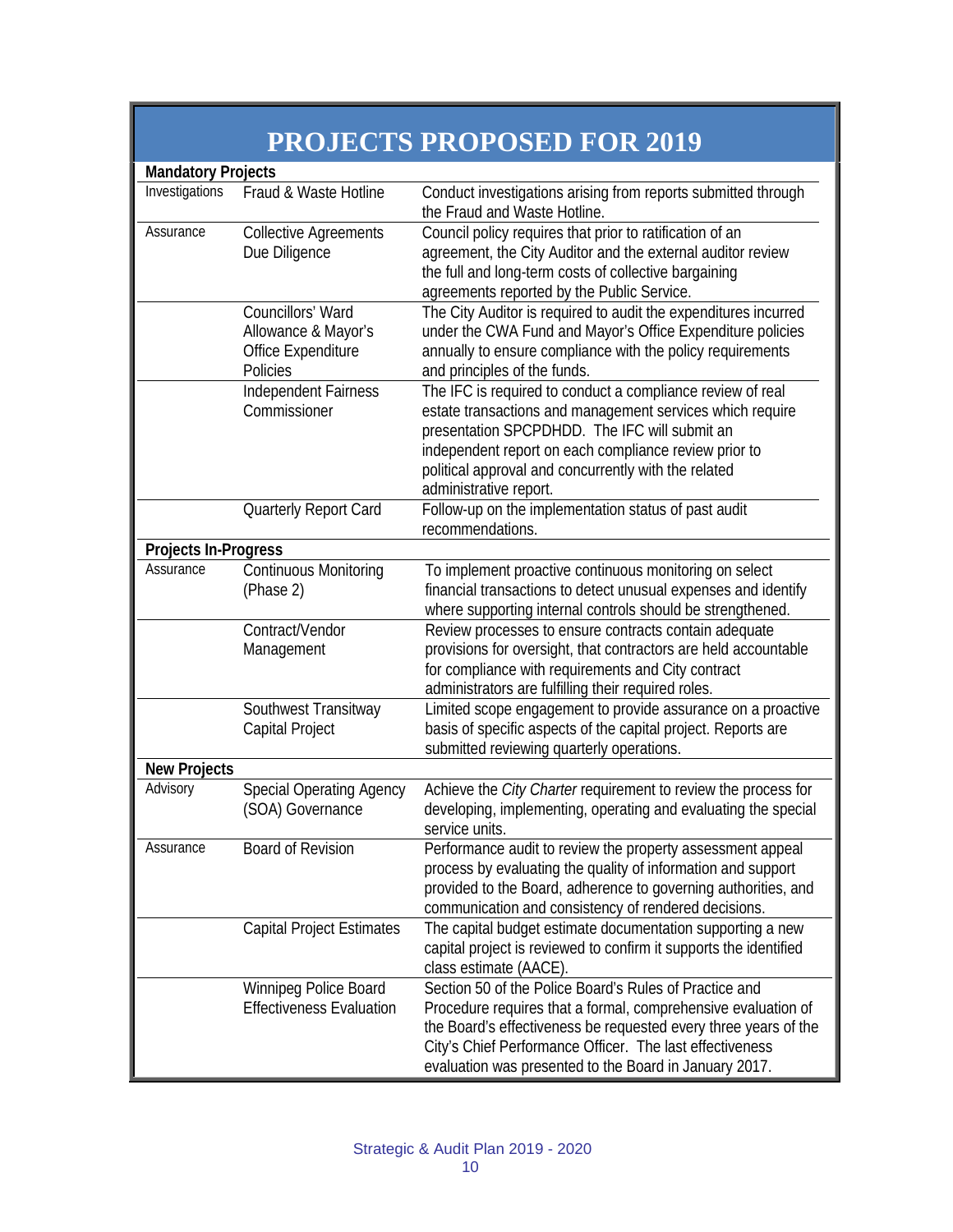|                             |                                                                            | PROJECTS PROPOSED FOR 2019                                                                                                                                                                                                                                                                                          |
|-----------------------------|----------------------------------------------------------------------------|---------------------------------------------------------------------------------------------------------------------------------------------------------------------------------------------------------------------------------------------------------------------------------------------------------------------|
| <b>Mandatory Projects</b>   |                                                                            |                                                                                                                                                                                                                                                                                                                     |
| Investigations              | Fraud & Waste Hotline                                                      | Conduct investigations arising from reports submitted through<br>the Fraud and Waste Hotline.                                                                                                                                                                                                                       |
| Assurance                   | <b>Collective Agreements</b><br>Due Diligence                              | Council policy requires that prior to ratification of an<br>agreement, the City Auditor and the external auditor review<br>the full and long-term costs of collective bargaining<br>agreements reported by the Public Service.                                                                                      |
|                             | Councillors' Ward<br>Allowance & Mayor's<br>Office Expenditure<br>Policies | The City Auditor is required to audit the expenditures incurred<br>under the CWA Fund and Mayor's Office Expenditure policies<br>annually to ensure compliance with the policy requirements<br>and principles of the funds.                                                                                         |
|                             | Independent Fairness<br>Commissioner                                       | The IFC is required to conduct a compliance review of real<br>estate transactions and management services which require<br>presentation SPCPDHDD. The IFC will submit an<br>independent report on each compliance review prior to<br>political approval and concurrently with the related<br>administrative report. |
|                             | Quarterly Report Card                                                      | Follow-up on the implementation status of past audit<br>recommendations.                                                                                                                                                                                                                                            |
| <b>Projects In-Progress</b> |                                                                            |                                                                                                                                                                                                                                                                                                                     |
| Assurance                   | Continuous Monitoring<br>(Phase 2)                                         | To implement proactive continuous monitoring on select<br>financial transactions to detect unusual expenses and identify<br>where supporting internal controls should be strengthened.                                                                                                                              |
|                             | Contract/Vendor<br>Management                                              | Review processes to ensure contracts contain adequate<br>provisions for oversight, that contractors are held accountable<br>for compliance with requirements and City contract<br>administrators are fulfilling their required roles.                                                                               |
|                             | Southwest Transitway<br>Capital Project                                    | Limited scope engagement to provide assurance on a proactive<br>basis of specific aspects of the capital project. Reports are<br>submitted reviewing quarterly operations.                                                                                                                                          |
| <b>New Projects</b>         |                                                                            |                                                                                                                                                                                                                                                                                                                     |
| Advisory                    | <b>Special Operating Agency</b><br>(SOA) Governance                        | Achieve the City Charter requirement to review the process for<br>developing, implementing, operating and evaluating the special<br>service units.                                                                                                                                                                  |
| Assurance                   | <b>Board of Revision</b>                                                   | Performance audit to review the property assessment appeal<br>process by evaluating the quality of information and support<br>provided to the Board, adherence to governing authorities, and<br>communication and consistency of rendered decisions.                                                                |
|                             | <b>Capital Project Estimates</b>                                           | The capital budget estimate documentation supporting a new<br>capital project is reviewed to confirm it supports the identified<br>class estimate (AACE).                                                                                                                                                           |
|                             | Winnipeg Police Board<br><b>Effectiveness Evaluation</b>                   | Section 50 of the Police Board's Rules of Practice and<br>Procedure requires that a formal, comprehensive evaluation of<br>the Board's effectiveness be requested every three years of the<br>City's Chief Performance Officer. The last effectiveness<br>evaluation was presented to the Board in January 2017.    |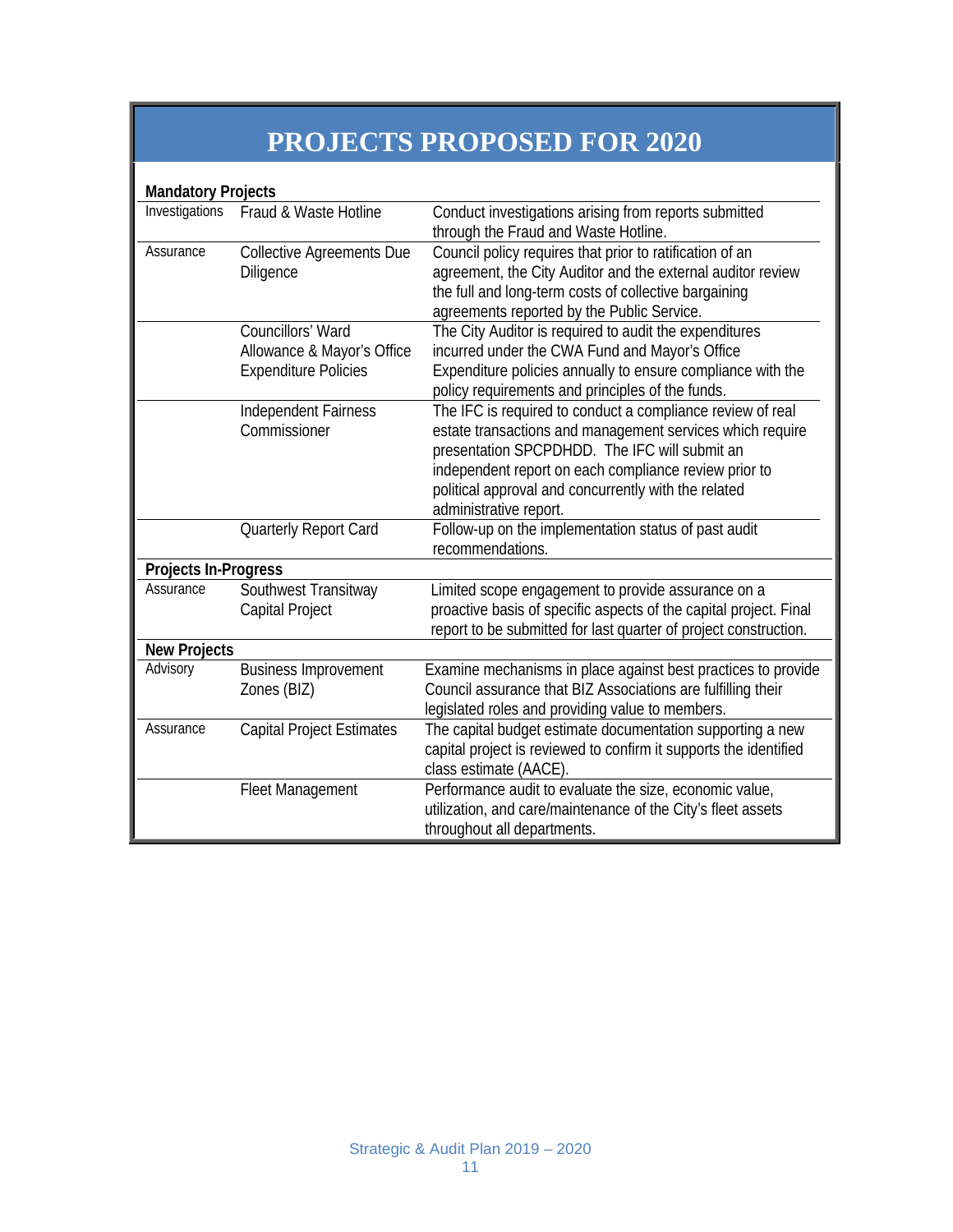# **PROJECTS PROPOSED FOR 2020**

| <b>Mandatory Projects</b> |                                                                                |                                                                                                                                                                                                                                                                                                                     |
|---------------------------|--------------------------------------------------------------------------------|---------------------------------------------------------------------------------------------------------------------------------------------------------------------------------------------------------------------------------------------------------------------------------------------------------------------|
| Investigations            | Fraud & Waste Hotline                                                          | Conduct investigations arising from reports submitted<br>through the Fraud and Waste Hotline.                                                                                                                                                                                                                       |
| Assurance                 | <b>Collective Agreements Due</b><br>Diligence                                  | Council policy requires that prior to ratification of an<br>agreement, the City Auditor and the external auditor review<br>the full and long-term costs of collective bargaining<br>agreements reported by the Public Service.                                                                                      |
|                           | Councillors' Ward<br>Allowance & Mayor's Office<br><b>Expenditure Policies</b> | The City Auditor is required to audit the expenditures<br>incurred under the CWA Fund and Mayor's Office<br>Expenditure policies annually to ensure compliance with the<br>policy requirements and principles of the funds.                                                                                         |
|                           | Independent Fairness<br>Commissioner                                           | The IFC is required to conduct a compliance review of real<br>estate transactions and management services which require<br>presentation SPCPDHDD. The IFC will submit an<br>independent report on each compliance review prior to<br>political approval and concurrently with the related<br>administrative report. |
|                           | Quarterly Report Card                                                          | Follow-up on the implementation status of past audit<br>recommendations.                                                                                                                                                                                                                                            |
| Projects In-Progress      |                                                                                |                                                                                                                                                                                                                                                                                                                     |
| Assurance                 | Southwest Transitway<br>Capital Project                                        | Limited scope engagement to provide assurance on a<br>proactive basis of specific aspects of the capital project. Final<br>report to be submitted for last quarter of project construction.                                                                                                                         |
| <b>New Projects</b>       |                                                                                |                                                                                                                                                                                                                                                                                                                     |
| Advisory                  | <b>Business Improvement</b><br>Zones (BIZ)                                     | Examine mechanisms in place against best practices to provide<br>Council assurance that BIZ Associations are fulfilling their<br>legislated roles and providing value to members.                                                                                                                                   |
| Assurance                 | <b>Capital Project Estimates</b>                                               | The capital budget estimate documentation supporting a new<br>capital project is reviewed to confirm it supports the identified<br>class estimate (AACE).                                                                                                                                                           |
|                           | <b>Fleet Management</b>                                                        | Performance audit to evaluate the size, economic value,<br>utilization, and care/maintenance of the City's fleet assets<br>throughout all departments.                                                                                                                                                              |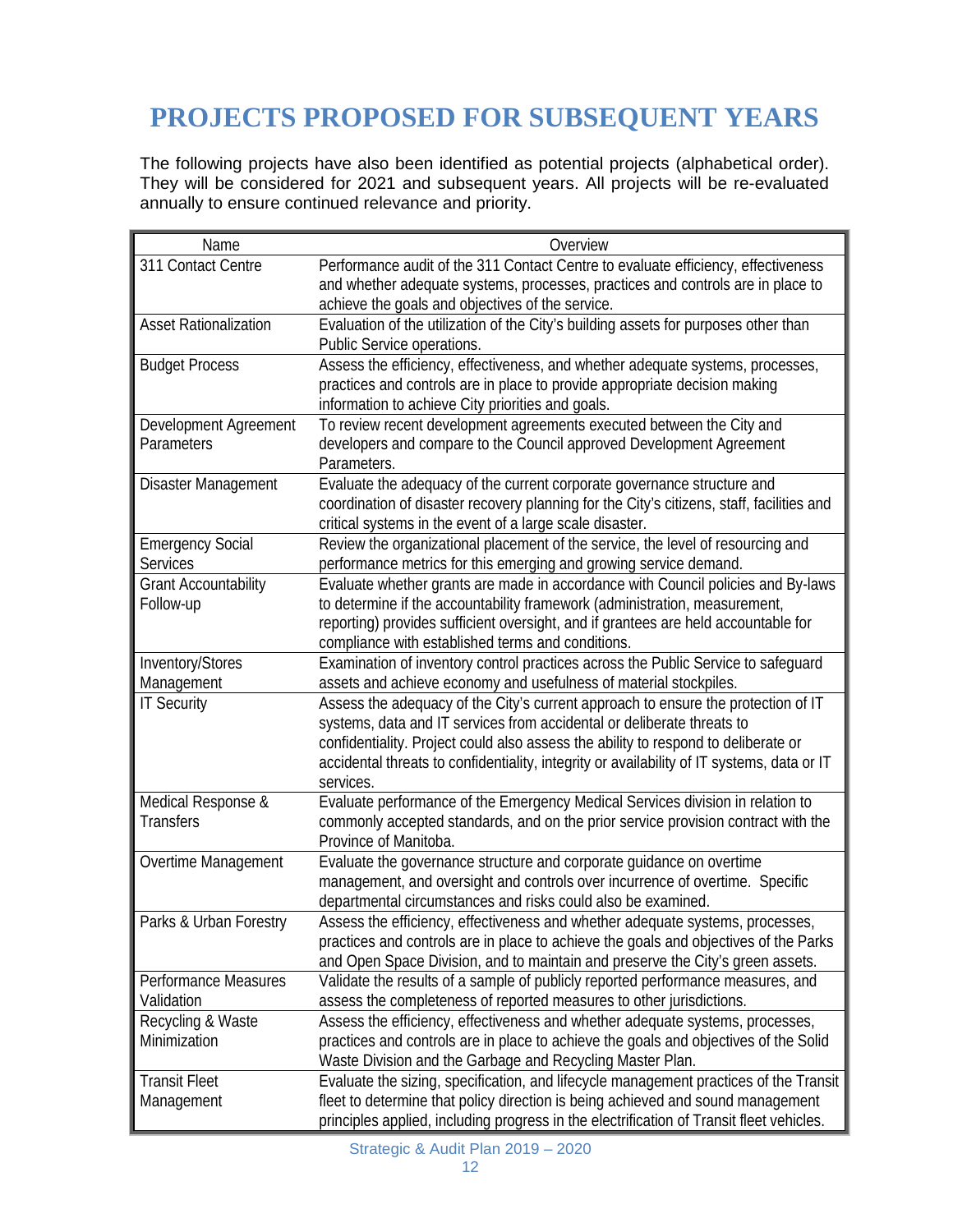# **PROJECTS PROPOSED FOR SUBSEQUENT YEARS**

The following projects have also been identified as potential projects (alphabetical order). They will be considered for 2021 and subsequent years. All projects will be re-evaluated annually to ensure continued relevance and priority.

| Name                                                                                                                                    | Overview                                                                                                                                                                                                                                                                                                                                                                                                                                                                                                                                                                                                                                                                                                                                                                                                                                                                                             |
|-----------------------------------------------------------------------------------------------------------------------------------------|------------------------------------------------------------------------------------------------------------------------------------------------------------------------------------------------------------------------------------------------------------------------------------------------------------------------------------------------------------------------------------------------------------------------------------------------------------------------------------------------------------------------------------------------------------------------------------------------------------------------------------------------------------------------------------------------------------------------------------------------------------------------------------------------------------------------------------------------------------------------------------------------------|
| 311 Contact Centre                                                                                                                      | Performance audit of the 311 Contact Centre to evaluate efficiency, effectiveness                                                                                                                                                                                                                                                                                                                                                                                                                                                                                                                                                                                                                                                                                                                                                                                                                    |
|                                                                                                                                         | and whether adequate systems, processes, practices and controls are in place to                                                                                                                                                                                                                                                                                                                                                                                                                                                                                                                                                                                                                                                                                                                                                                                                                      |
|                                                                                                                                         | achieve the goals and objectives of the service.                                                                                                                                                                                                                                                                                                                                                                                                                                                                                                                                                                                                                                                                                                                                                                                                                                                     |
| <b>Asset Rationalization</b>                                                                                                            | Evaluation of the utilization of the City's building assets for purposes other than                                                                                                                                                                                                                                                                                                                                                                                                                                                                                                                                                                                                                                                                                                                                                                                                                  |
|                                                                                                                                         | Public Service operations.                                                                                                                                                                                                                                                                                                                                                                                                                                                                                                                                                                                                                                                                                                                                                                                                                                                                           |
| <b>Budget Process</b>                                                                                                                   | Assess the efficiency, effectiveness, and whether adequate systems, processes,                                                                                                                                                                                                                                                                                                                                                                                                                                                                                                                                                                                                                                                                                                                                                                                                                       |
|                                                                                                                                         | practices and controls are in place to provide appropriate decision making                                                                                                                                                                                                                                                                                                                                                                                                                                                                                                                                                                                                                                                                                                                                                                                                                           |
|                                                                                                                                         | information to achieve City priorities and goals.                                                                                                                                                                                                                                                                                                                                                                                                                                                                                                                                                                                                                                                                                                                                                                                                                                                    |
| Development Agreement                                                                                                                   | To review recent development agreements executed between the City and                                                                                                                                                                                                                                                                                                                                                                                                                                                                                                                                                                                                                                                                                                                                                                                                                                |
| Parameters                                                                                                                              | developers and compare to the Council approved Development Agreement                                                                                                                                                                                                                                                                                                                                                                                                                                                                                                                                                                                                                                                                                                                                                                                                                                 |
|                                                                                                                                         | Parameters.                                                                                                                                                                                                                                                                                                                                                                                                                                                                                                                                                                                                                                                                                                                                                                                                                                                                                          |
| Disaster Management                                                                                                                     | Evaluate the adequacy of the current corporate governance structure and                                                                                                                                                                                                                                                                                                                                                                                                                                                                                                                                                                                                                                                                                                                                                                                                                              |
|                                                                                                                                         | coordination of disaster recovery planning for the City's citizens, staff, facilities and                                                                                                                                                                                                                                                                                                                                                                                                                                                                                                                                                                                                                                                                                                                                                                                                            |
|                                                                                                                                         | critical systems in the event of a large scale disaster.                                                                                                                                                                                                                                                                                                                                                                                                                                                                                                                                                                                                                                                                                                                                                                                                                                             |
| <b>Emergency Social</b>                                                                                                                 | Review the organizational placement of the service, the level of resourcing and                                                                                                                                                                                                                                                                                                                                                                                                                                                                                                                                                                                                                                                                                                                                                                                                                      |
| <b>Services</b>                                                                                                                         | performance metrics for this emerging and growing service demand.                                                                                                                                                                                                                                                                                                                                                                                                                                                                                                                                                                                                                                                                                                                                                                                                                                    |
| <b>Grant Accountability</b>                                                                                                             | Evaluate whether grants are made in accordance with Council policies and By-laws                                                                                                                                                                                                                                                                                                                                                                                                                                                                                                                                                                                                                                                                                                                                                                                                                     |
| Follow-up                                                                                                                               | to determine if the accountability framework (administration, measurement,                                                                                                                                                                                                                                                                                                                                                                                                                                                                                                                                                                                                                                                                                                                                                                                                                           |
|                                                                                                                                         | reporting) provides sufficient oversight, and if grantees are held accountable for                                                                                                                                                                                                                                                                                                                                                                                                                                                                                                                                                                                                                                                                                                                                                                                                                   |
|                                                                                                                                         | compliance with established terms and conditions.                                                                                                                                                                                                                                                                                                                                                                                                                                                                                                                                                                                                                                                                                                                                                                                                                                                    |
| Inventory/Stores                                                                                                                        | Examination of inventory control practices across the Public Service to safequard                                                                                                                                                                                                                                                                                                                                                                                                                                                                                                                                                                                                                                                                                                                                                                                                                    |
| Management                                                                                                                              | assets and achieve economy and usefulness of material stockpiles.                                                                                                                                                                                                                                                                                                                                                                                                                                                                                                                                                                                                                                                                                                                                                                                                                                    |
| <b>IT Security</b>                                                                                                                      | Assess the adequacy of the City's current approach to ensure the protection of IT                                                                                                                                                                                                                                                                                                                                                                                                                                                                                                                                                                                                                                                                                                                                                                                                                    |
|                                                                                                                                         | systems, data and IT services from accidental or deliberate threats to                                                                                                                                                                                                                                                                                                                                                                                                                                                                                                                                                                                                                                                                                                                                                                                                                               |
|                                                                                                                                         | confidentiality. Project could also assess the ability to respond to deliberate or                                                                                                                                                                                                                                                                                                                                                                                                                                                                                                                                                                                                                                                                                                                                                                                                                   |
|                                                                                                                                         | accidental threats to confidentiality, integrity or availability of IT systems, data or IT                                                                                                                                                                                                                                                                                                                                                                                                                                                                                                                                                                                                                                                                                                                                                                                                           |
|                                                                                                                                         | services.                                                                                                                                                                                                                                                                                                                                                                                                                                                                                                                                                                                                                                                                                                                                                                                                                                                                                            |
| Medical Response &                                                                                                                      | Evaluate performance of the Emergency Medical Services division in relation to                                                                                                                                                                                                                                                                                                                                                                                                                                                                                                                                                                                                                                                                                                                                                                                                                       |
| Transfers                                                                                                                               | commonly accepted standards, and on the prior service provision contract with the                                                                                                                                                                                                                                                                                                                                                                                                                                                                                                                                                                                                                                                                                                                                                                                                                    |
|                                                                                                                                         | Province of Manitoba.                                                                                                                                                                                                                                                                                                                                                                                                                                                                                                                                                                                                                                                                                                                                                                                                                                                                                |
| Overtime Management                                                                                                                     | Evaluate the governance structure and corporate guidance on overtime                                                                                                                                                                                                                                                                                                                                                                                                                                                                                                                                                                                                                                                                                                                                                                                                                                 |
|                                                                                                                                         | management, and oversight and controls over incurrence of overtime. Specific                                                                                                                                                                                                                                                                                                                                                                                                                                                                                                                                                                                                                                                                                                                                                                                                                         |
|                                                                                                                                         |                                                                                                                                                                                                                                                                                                                                                                                                                                                                                                                                                                                                                                                                                                                                                                                                                                                                                                      |
|                                                                                                                                         |                                                                                                                                                                                                                                                                                                                                                                                                                                                                                                                                                                                                                                                                                                                                                                                                                                                                                                      |
|                                                                                                                                         |                                                                                                                                                                                                                                                                                                                                                                                                                                                                                                                                                                                                                                                                                                                                                                                                                                                                                                      |
|                                                                                                                                         |                                                                                                                                                                                                                                                                                                                                                                                                                                                                                                                                                                                                                                                                                                                                                                                                                                                                                                      |
|                                                                                                                                         |                                                                                                                                                                                                                                                                                                                                                                                                                                                                                                                                                                                                                                                                                                                                                                                                                                                                                                      |
|                                                                                                                                         |                                                                                                                                                                                                                                                                                                                                                                                                                                                                                                                                                                                                                                                                                                                                                                                                                                                                                                      |
|                                                                                                                                         |                                                                                                                                                                                                                                                                                                                                                                                                                                                                                                                                                                                                                                                                                                                                                                                                                                                                                                      |
|                                                                                                                                         |                                                                                                                                                                                                                                                                                                                                                                                                                                                                                                                                                                                                                                                                                                                                                                                                                                                                                                      |
|                                                                                                                                         |                                                                                                                                                                                                                                                                                                                                                                                                                                                                                                                                                                                                                                                                                                                                                                                                                                                                                                      |
|                                                                                                                                         |                                                                                                                                                                                                                                                                                                                                                                                                                                                                                                                                                                                                                                                                                                                                                                                                                                                                                                      |
|                                                                                                                                         | principles applied, including progress in the electrification of Transit fleet vehicles.                                                                                                                                                                                                                                                                                                                                                                                                                                                                                                                                                                                                                                                                                                                                                                                                             |
| Parks & Urban Forestry<br>Performance Measures<br>Validation<br>Recycling & Waste<br>Minimization<br><b>Transit Fleet</b><br>Management | departmental circumstances and risks could also be examined.<br>Assess the efficiency, effectiveness and whether adequate systems, processes,<br>practices and controls are in place to achieve the goals and objectives of the Parks<br>and Open Space Division, and to maintain and preserve the City's green assets.<br>Validate the results of a sample of publicly reported performance measures, and<br>assess the completeness of reported measures to other jurisdictions.<br>Assess the efficiency, effectiveness and whether adequate systems, processes,<br>practices and controls are in place to achieve the goals and objectives of the Solid<br>Waste Division and the Garbage and Recycling Master Plan.<br>Evaluate the sizing, specification, and lifecycle management practices of the Transit<br>fleet to determine that policy direction is being achieved and sound management |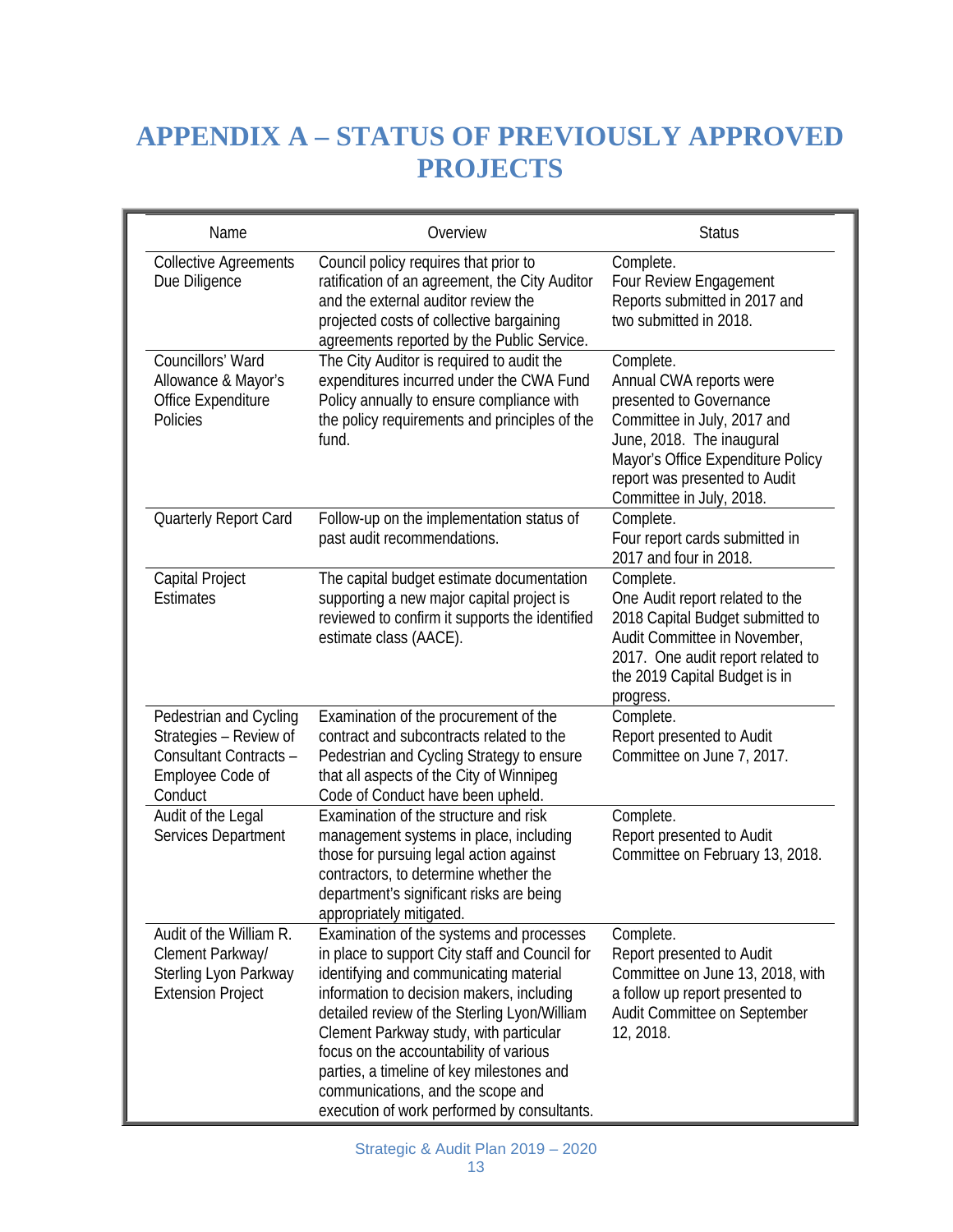# **APPENDIX A – STATUS OF PREVIOUSLY APPROVED PROJECTS**

| Name                                                                                                      | Overview                                                                                                                                                                                                                                                                                                                                                                                                                                               | <b>Status</b>                                                                                                                                                                                                                 |
|-----------------------------------------------------------------------------------------------------------|--------------------------------------------------------------------------------------------------------------------------------------------------------------------------------------------------------------------------------------------------------------------------------------------------------------------------------------------------------------------------------------------------------------------------------------------------------|-------------------------------------------------------------------------------------------------------------------------------------------------------------------------------------------------------------------------------|
| <b>Collective Agreements</b><br>Due Diligence                                                             | Council policy requires that prior to<br>ratification of an agreement, the City Auditor<br>and the external auditor review the<br>projected costs of collective bargaining<br>agreements reported by the Public Service.                                                                                                                                                                                                                               | Complete.<br>Four Review Engagement<br>Reports submitted in 2017 and<br>two submitted in 2018.                                                                                                                                |
| Councillors' Ward<br>Allowance & Mayor's<br>Office Expenditure<br>Policies                                | The City Auditor is required to audit the<br>expenditures incurred under the CWA Fund<br>Policy annually to ensure compliance with<br>the policy requirements and principles of the<br>fund.                                                                                                                                                                                                                                                           | Complete.<br>Annual CWA reports were<br>presented to Governance<br>Committee in July, 2017 and<br>June, 2018. The inaugural<br>Mayor's Office Expenditure Policy<br>report was presented to Audit<br>Committee in July, 2018. |
| Quarterly Report Card                                                                                     | Follow-up on the implementation status of<br>past audit recommendations.                                                                                                                                                                                                                                                                                                                                                                               | Complete.<br>Four report cards submitted in<br>2017 and four in 2018.                                                                                                                                                         |
| Capital Project<br><b>Estimates</b>                                                                       | The capital budget estimate documentation<br>supporting a new major capital project is<br>reviewed to confirm it supports the identified<br>estimate class (AACE).                                                                                                                                                                                                                                                                                     | Complete.<br>One Audit report related to the<br>2018 Capital Budget submitted to<br>Audit Committee in November,<br>2017. One audit report related to<br>the 2019 Capital Budget is in<br>progress.                           |
| Pedestrian and Cycling<br>Strategies - Review of<br>Consultant Contracts -<br>Employee Code of<br>Conduct | Examination of the procurement of the<br>contract and subcontracts related to the<br>Pedestrian and Cycling Strategy to ensure<br>that all aspects of the City of Winnipeg<br>Code of Conduct have been upheld.                                                                                                                                                                                                                                        | Complete.<br>Report presented to Audit<br>Committee on June 7, 2017.                                                                                                                                                          |
| Audit of the Legal<br>Services Department                                                                 | Examination of the structure and risk<br>management systems in place, including<br>those for pursuing legal action against<br>contractors, to determine whether the<br>department's significant risks are being<br>appropriately mitigated.                                                                                                                                                                                                            | Complete.<br>Report presented to Audit<br>Committee on February 13, 2018.                                                                                                                                                     |
| Audit of the William R.<br>Clement Parkway/<br>Sterling Lyon Parkway<br><b>Extension Project</b>          | Examination of the systems and processes<br>in place to support City staff and Council for<br>identifying and communicating material<br>information to decision makers, including<br>detailed review of the Sterling Lyon/William<br>Clement Parkway study, with particular<br>focus on the accountability of various<br>parties, a timeline of key milestones and<br>communications, and the scope and<br>execution of work performed by consultants. | Complete.<br>Report presented to Audit<br>Committee on June 13, 2018, with<br>a follow up report presented to<br>Audit Committee on September<br>12, 2018.                                                                    |